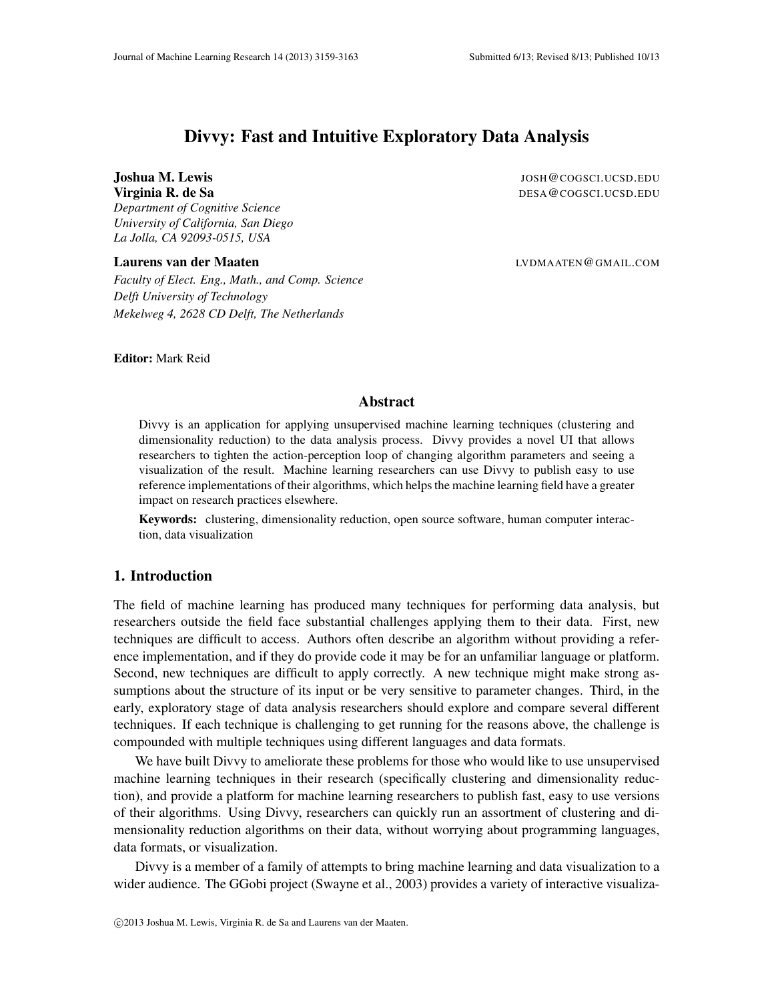# Divvy: Fast and Intuitive Exploratory Data Analysis

# Joshua M. Lewis JOSH@COGSCI.UCSD.EDU

*Department of Cognitive Science University of California, San Diego La Jolla, CA 92093-0515, USA*

#### Laurens van der Maaten aan der Maaten Laurens van der Maaten Laurens van de Lybmaaten (EU) en de Lybmaaten (EU)

**Virginia R. de Sa** Desa Octobre 1999 and the Santa Control of the Santa Control of the DESA @COGSCI.UCSD.EDU

*Faculty of Elect. Eng., Math., and Comp. Science Delft University of Technology Mekelweg 4, 2628 CD Delft, The Netherlands*

Editor: Mark Reid

### Abstract

Divvy is an application for applying unsupervised machine learning techniques (clustering and dimensionality reduction) to the data analysis process. Divvy provides a novel UI that allows researchers to tighten the action-perception loop of changing algorithm parameters and seeing a visualization of the result. Machine learning researchers can use Divvy to publish easy to use reference implementations of their algorithms, which helps the machine learning field have a greater impact on research practices elsewhere.

Keywords: clustering, dimensionality reduction, open source software, human computer interaction, data visualization

# 1. Introduction

The field of machine learning has produced many techniques for performing data analysis, but researchers outside the field face substantial challenges applying them to their data. First, new techniques are difficult to access. Authors often describe an algorithm without providing a reference implementation, and if they do provide code it may be for an unfamiliar language or platform. Second, new techniques are difficult to apply correctly. A new technique might make strong assumptions about the structure of its input or be very sensitive to parameter changes. Third, in the early, exploratory stage of data analysis researchers should explore and compare several different techniques. If each technique is challenging to get running for the reasons above, the challenge is compounded with multiple techniques using different languages and data formats.

We have built Divvy to ameliorate these problems for those who would like to use unsupervised machine learning techniques in their research (specifically clustering and dimensionality reduction), and provide a platform for machine learning researchers to publish fast, easy to use versions of their algorithms. Using Divvy, researchers can quickly run an assortment of clustering and dimensionality reduction algorithms on their data, without worrying about programming languages, data formats, or visualization.

Divvy is a member of a family of attempts to bring machine learning and data visualization to a wider audience. The GGobi project (Swayne et al., 2003) provides a variety of interactive visualiza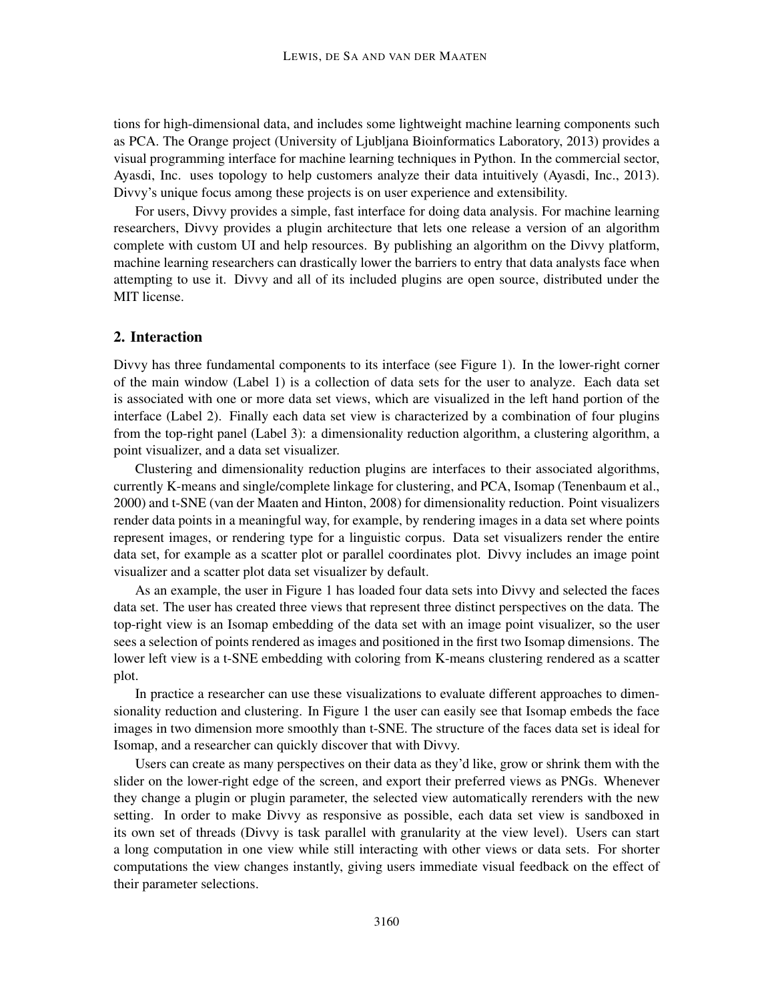tions for high-dimensional data, and includes some lightweight machine learning components such as PCA. The Orange project (University of Ljubljana Bioinformatics Laboratory, 2013) provides a visual programming interface for machine learning techniques in Python. In the commercial sector, Ayasdi, Inc. uses topology to help customers analyze their data intuitively (Ayasdi, Inc., 2013). Divvy's unique focus among these projects is on user experience and extensibility.

For users, Divvy provides a simple, fast interface for doing data analysis. For machine learning researchers, Divvy provides a plugin architecture that lets one release a version of an algorithm complete with custom UI and help resources. By publishing an algorithm on the Divvy platform, machine learning researchers can drastically lower the barriers to entry that data analysts face when attempting to use it. Divvy and all of its included plugins are open source, distributed under the MIT license.

## 2. Interaction

Divvy has three fundamental components to its interface (see Figure 1). In the lower-right corner of the main window (Label 1) is a collection of data sets for the user to analyze. Each data set is associated with one or more data set views, which are visualized in the left hand portion of the interface (Label 2). Finally each data set view is characterized by a combination of four plugins from the top-right panel (Label 3): a dimensionality reduction algorithm, a clustering algorithm, a point visualizer, and a data set visualizer.

Clustering and dimensionality reduction plugins are interfaces to their associated algorithms, currently K-means and single/complete linkage for clustering, and PCA, Isomap (Tenenbaum et al., 2000) and t-SNE (van der Maaten and Hinton, 2008) for dimensionality reduction. Point visualizers render data points in a meaningful way, for example, by rendering images in a data set where points represent images, or rendering type for a linguistic corpus. Data set visualizers render the entire data set, for example as a scatter plot or parallel coordinates plot. Divvy includes an image point visualizer and a scatter plot data set visualizer by default.

As an example, the user in Figure 1 has loaded four data sets into Divvy and selected the faces data set. The user has created three views that represent three distinct perspectives on the data. The top-right view is an Isomap embedding of the data set with an image point visualizer, so the user sees a selection of points rendered as images and positioned in the first two Isomap dimensions. The lower left view is a t-SNE embedding with coloring from K-means clustering rendered as a scatter plot.

In practice a researcher can use these visualizations to evaluate different approaches to dimensionality reduction and clustering. In Figure 1 the user can easily see that Isomap embeds the face images in two dimension more smoothly than t-SNE. The structure of the faces data set is ideal for Isomap, and a researcher can quickly discover that with Divvy.

Users can create as many perspectives on their data as they'd like, grow or shrink them with the slider on the lower-right edge of the screen, and export their preferred views as PNGs. Whenever they change a plugin or plugin parameter, the selected view automatically rerenders with the new setting. In order to make Divvy as responsive as possible, each data set view is sandboxed in its own set of threads (Divvy is task parallel with granularity at the view level). Users can start a long computation in one view while still interacting with other views or data sets. For shorter computations the view changes instantly, giving users immediate visual feedback on the effect of their parameter selections.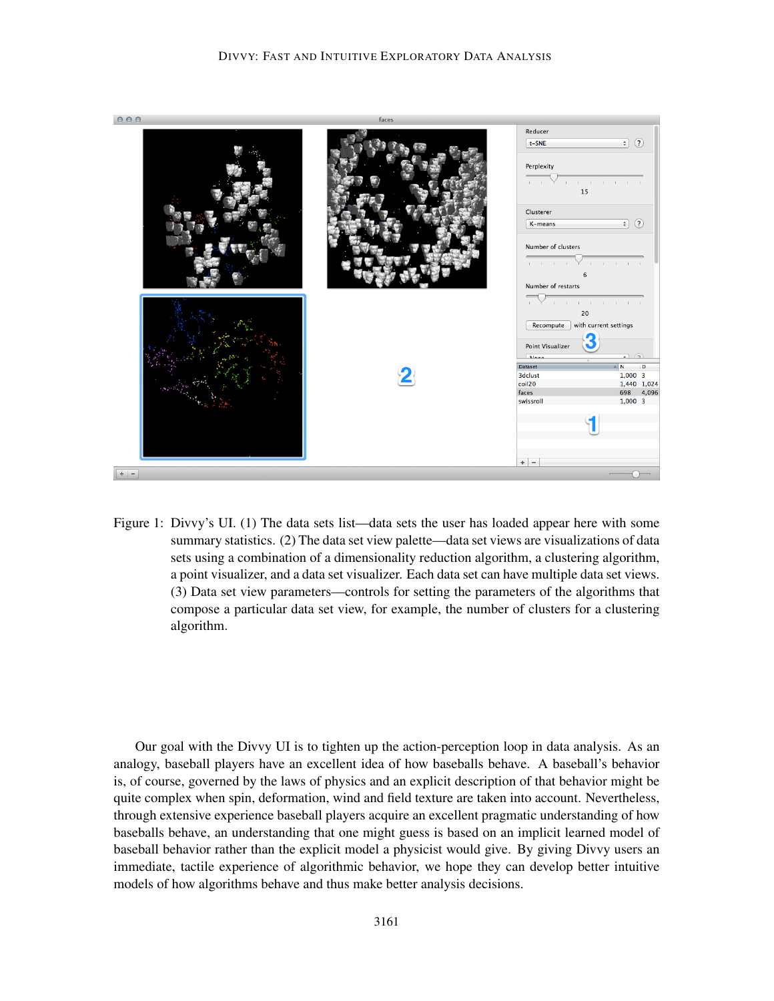

Figure 1: Divvy's UI. (1) The data sets list—data sets the user has loaded appear here with some summary statistics. (2) The data set view palette—data set views are visualizations of data sets using a combination of a dimensionality reduction algorithm, a clustering algorithm, a point visualizer, and a data set visualizer. Each data set can have multiple data set views. (3) Data set view parameters—controls for setting the parameters of the algorithms that compose a particular data set view, for example, the number of clusters for a clustering algorithm.

Our goal with the Divvy UI is to tighten up the action-perception loop in data analysis. As an analogy, baseball players have an excellent idea of how baseballs behave. A baseball's behavior is, of course, governed by the laws of physics and an explicit description of that behavior might be quite complex when spin, deformation, wind and field texture are taken into account. Nevertheless, through extensive experience baseball players acquire an excellent pragmatic understanding of how baseballs behave, an understanding that one might guess is based on an implicit learned model of baseball behavior rather than the explicit model a physicist would give. By giving Divvy users an immediate, tactile experience of algorithmic behavior, we hope they can develop better intuitive models of how algorithms behave and thus make better analysis decisions.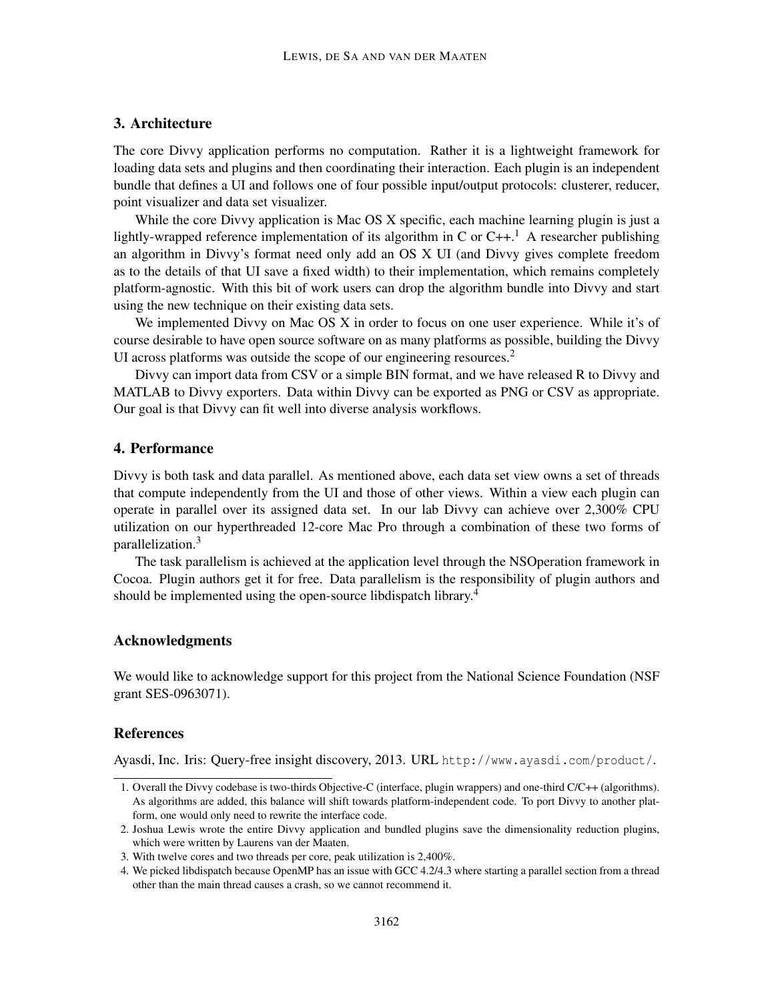# 3. Architecture

The core Divvy application performs no computation. Rather it is a lightweight framework for loading data sets and plugins and then coordinating their interaction. Each plugin is an independent bundle that defines a UI and follows one of four possible input/output protocols: clusterer, reducer, point visualizer and data set visualizer.

While the core Divvy application is Mac OS X specific, each machine learning plugin is just a lightly-wrapped reference implementation of its algorithm in C or  $C++$ .<sup>1</sup> A researcher publishing an algorithm in Divvy's format need only add an OS X UI (and Divvy gives complete freedom as to the details of that UI save a fixed width) to their implementation, which remains completely platform-agnostic. With this bit of work users can drop the algorithm bundle into Divvy and start using the new technique on their existing data sets.

We implemented Divvy on Mac OS X in order to focus on one user experience. While it's of course desirable to have open source software on as many platforms as possible, building the Divvy UI across platforms was outside the scope of our engineering resources.<sup>2</sup>

Divvy can import data from CSV or a simple BIN format, and we have released R to Divvy and MATLAB to Divvy exporters. Data within Divvy can be exported as PNG or CSV as appropriate. Our goal is that Divvy can fit well into diverse analysis workflows.

## 4. Performance

Divvy is both task and data parallel. As mentioned above, each data set view owns a set of threads that compute independently from the UI and those of other views. Within a view each plugin can operate in parallel over its assigned data set. In our lab Divvy can achieve over 2,300% CPU utilization on our hyperthreaded 12-core Mac Pro through a combination of these two forms of parallelization.<sup>3</sup>

The task parallelism is achieved at the application level through the NSOperation framework in Cocoa. Plugin authors get it for free. Data parallelism is the responsibility of plugin authors and should be implemented using the open-source libdispatch library.<sup>4</sup>

### Acknowledgments

We would like to acknowledge support for this project from the National Science Foundation (NSF grant SES-0963071).

#### References

Ayasdi, Inc. Iris: Query-free insight discovery, 2013. URL http://www.ayasdi.com/product/.

<sup>1.</sup> Overall the Divvy codebase is two-thirds Objective-C (interface, plugin wrappers) and one-third C/C++ (algorithms). As algorithms are added, this balance will shift towards platform-independent code. To port Divvy to another platform, one would only need to rewrite the interface code.

<sup>2.</sup> Joshua Lewis wrote the entire Divvy application and bundled plugins save the dimensionality reduction plugins, which were written by Laurens van der Maaten.

<sup>3.</sup> With twelve cores and two threads per core, peak utilization is 2,400%.

<sup>4.</sup> We picked libdispatch because OpenMP has an issue with GCC 4.2/4.3 where starting a parallel section from a thread other than the main thread causes a crash, so we cannot recommend it.